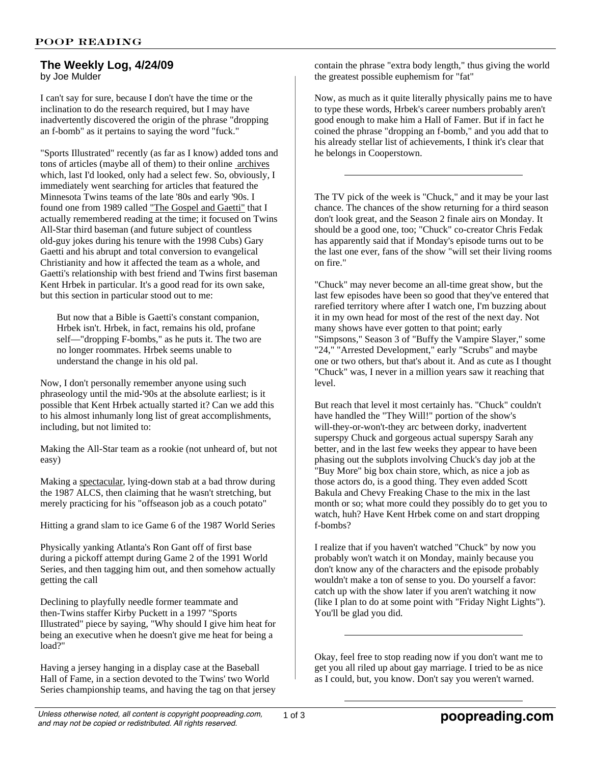## **The Weekly Log, 4/24/09** by Joe Mulder

I can't say for sure, because I don't have the time or the inclination to do the research required, but I may have inadvertently discovered the origin of the phrase "dropping an f-bomb" as it pertains to saying the word "fuck."

"Sports Illustrated" recently (as far as I know) added tons and tons of articles (maybe all of them) to their online archives which, last I'd looked, only had a select few. So, obviously, I immediately went searching for articles that featured the Minnesota Twins teams of the late '80s and early '90s. I found one from 1989 called "The Gospel and Gaetti" that I actually remembered reading at the time; it focused on Twins All-Star third baseman (and future subject of countless old-guy jokes during his tenure with the 1998 Cubs) Gary Gaetti and his abrupt and total conversion to evangelical Christianity and how it affected the team as a whole, and Gaetti's relationship with best friend and Twins first baseman Kent Hrbek in particular. It's a good read for its own sake, but this section in particular stood out to me:

But now that a Bible is Gaetti's constant companion, Hrbek isn't. Hrbek, in fact, remains his old, profane self—"dropping F-bombs," as he puts it. The two are no longer roommates. Hrbek seems unable to understand the change in his old pal.

Now, I don't personally remember anyone using such phraseology until the mid-'90s at the absolute earliest; is it possible that Kent Hrbek actually started it? Can we add this to his almost inhumanly long list of great accomplishments, including, but not limited to:

Making the All-Star team as a rookie (not unheard of, but not easy)

Making a spectacular, lying-down stab at a bad throw during the 1987 ALCS, then claiming that he wasn't stretching, but merely practicing for his "offseason job as a couch potato"

Hitting a grand slam to ice Game 6 of the 1987 World Series

Physically yanking Atlanta's Ron Gant off of first base during a pickoff attempt during Game 2 of the 1991 World Series, and then tagging him out, and then somehow actually getting the call

Declining to playfully needle former teammate and then-Twins staffer Kirby Puckett in a 1997 "Sports Illustrated" piece by saying, "Why should I give him heat for being an executive when he doesn't give me heat for being a load?"

Having a jersey hanging in a display case at the Baseball Hall of Fame, in a section devoted to the Twins' two World Series championship teams, and having the tag on that jersey contain the phrase "extra body length," thus giving the world the greatest possible euphemism for "fat"

Now, as much as it quite literally physically pains me to have to type these words, Hrbek's career numbers probably aren't good enough to make him a Hall of Famer. But if in fact he coined the phrase "dropping an f-bomb," and you add that to his already stellar list of achievements, I think it's clear that he belongs in Cooperstown.

The TV pick of the week is "Chuck," and it may be your last chance. The chances of the show returning for a third season don't look great, and the Season 2 finale airs on Monday. It should be a good one, too; "Chuck" co-creator Chris Fedak has apparently said that if Monday's episode turns out to be the last one ever, fans of the show "will set their living rooms on fire."

"Chuck" may never become an all-time great show, but the last few episodes have been so good that they've entered that rarefied territory where after I watch one, I'm buzzing about it in my own head for most of the rest of the next day. Not many shows have ever gotten to that point; early "Simpsons," Season 3 of "Buffy the Vampire Slayer," some "24," "Arrested Development," early "Scrubs" and maybe one or two others, but that's about it. And as cute as I thought "Chuck" was, I never in a million years saw it reaching that level.

But reach that level it most certainly has. "Chuck" couldn't have handled the "They Will!" portion of the show's will-they-or-won't-they arc between dorky, inadvertent superspy Chuck and gorgeous actual superspy Sarah any better, and in the last few weeks they appear to have been phasing out the subplots involving Chuck's day job at the "Buy More" big box chain store, which, as nice a job as those actors do, is a good thing. They even added Scott Bakula and Chevy Freaking Chase to the mix in the last month or so; what more could they possibly do to get you to watch, huh? Have Kent Hrbek come on and start dropping f-bombs?

I realize that if you haven't watched "Chuck" by now you probably won't watch it on Monday, mainly because you don't know any of the characters and the episode probably wouldn't make a ton of sense to you. Do yourself a favor: catch up with the show later if you aren't watching it now (like I plan to do at some point with "Friday Night Lights"). You'll be glad you did.

Okay, feel free to stop reading now if you don't want me to get you all riled up about gay marriage. I tried to be as nice as I could, but, you know. Don't say you weren't warned.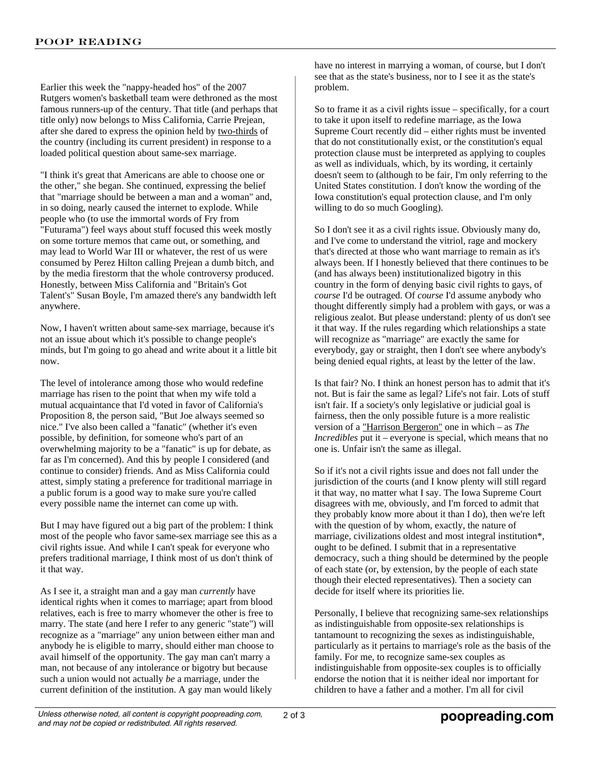Earlier this week the "nappy-headed hos" of the 2007 Rutgers women's basketball team were dethroned as the most famous runners-up of the century. That title (and perhaps that title only) now belongs to Miss California, Carrie Prejean, after she dared to express the opinion held by two-thirds of the country (including its current president) in response to a loaded political question about same-sex marriage.

"I think it's great that Americans are able to choose one or the other," she began. She continued, expressing the belief that "marriage should be between a man and a woman" and, in so doing, nearly caused the internet to explode. While people who (to use the immortal words of Fry from "Futurama") feel ways about stuff focused this week mostly on some torture memos that came out, or something, and may lead to World War III or whatever, the rest of us were consumed by Perez Hilton calling Prejean a dumb bitch, and by the media firestorm that the whole controversy produced. Honestly, between Miss California and "Britain's Got Talent's" Susan Boyle, I'm amazed there's any bandwidth left anywhere.

Now, I haven't written about same-sex marriage, because it's not an issue about which it's possible to change people's minds, but I'm going to go ahead and write about it a little bit now.

The level of intolerance among those who would redefine marriage has risen to the point that when my wife told a mutual acquaintance that I'd voted in favor of California's Proposition 8, the person said, "But Joe always seemed so nice." I've also been called a "fanatic" (whether it's even possible, by definition, for someone who's part of an overwhelming majority to be a "fanatic" is up for debate, as far as I'm concerned). And this by people I considered (and continue to consider) friends. And as Miss California could attest, simply stating a preference for traditional marriage in a public forum is a good way to make sure you're called every possible name the internet can come up with.

But I may have figured out a big part of the problem: I think most of the people who favor same-sex marriage see this as a civil rights issue. And while I can't speak for everyone who prefers traditional marriage, I think most of us don't think of it that way.

As I see it, a straight man and a gay man *currently* have identical rights when it comes to marriage; apart from blood relatives, each is free to marry whomever the other is free to marry. The state (and here I refer to any generic "state") will recognize as a "marriage" any union between either man and anybody he is eligible to marry, should either man choose to avail himself of the opportunity. The gay man can't marry a man, not because of any intolerance or bigotry but because such a union would not actually *be* a marriage, under the current definition of the institution. A gay man would likely

have no interest in marrying a woman, of course, but I don't see that as the state's business, nor to I see it as the state's problem.

So to frame it as a civil rights issue – specifically, for a court to take it upon itself to redefine marriage, as the Iowa Supreme Court recently did – either rights must be invented that do not constitutionally exist, or the constitution's equal protection clause must be interpreted as applying to couples as well as individuals, which, by its wording, it certainly doesn't seem to (although to be fair, I'm only referring to the United States constitution. I don't know the wording of the Iowa constitution's equal protection clause, and I'm only willing to do so much Googling).

So I don't see it as a civil rights issue. Obviously many do, and I've come to understand the vitriol, rage and mockery that's directed at those who want marriage to remain as it's always been. If I honestly believed that there continues to be (and has always been) institutionalized bigotry in this country in the form of denying basic civil rights to gays, of *course* I'd be outraged. Of *course* I'd assume anybody who thought differently simply had a problem with gays, or was a religious zealot. But please understand: plenty of us don't see it that way. If the rules regarding which relationships a state will recognize as "marriage" are exactly the same for everybody, gay or straight, then I don't see where anybody's being denied equal rights, at least by the letter of the law.

Is that fair? No. I think an honest person has to admit that it's not. But is fair the same as legal? Life's not fair. Lots of stuff isn't fair. If a society's only legislative or judicial goal is fairness, then the only possible future is a more realistic version of a "Harrison Bergeron" one in which – as *The Incredibles* put it – everyone is special, which means that no one is. Unfair isn't the same as illegal.

So if it's not a civil rights issue and does not fall under the jurisdiction of the courts (and I know plenty will still regard it that way, no matter what I say. The Iowa Supreme Court disagrees with me, obviously, and I'm forced to admit that they probably know more about it than I do), then we're left with the question of by whom, exactly, the nature of marriage, civilizations oldest and most integral institution\*, ought to be defined. I submit that in a representative democracy, such a thing should be determined by the people of each state (or, by extension, by the people of each state though their elected representatives). Then a society can decide for itself where its priorities lie.

Personally, I believe that recognizing same-sex relationships as indistinguishable from opposite-sex relationships is tantamount to recognizing the sexes as indistinguishable, particularly as it pertains to marriage's role as the basis of the family. For me, to recognize same-sex couples as indistinguishable from opposite-sex couples is to officially endorse the notion that it is neither ideal nor important for children to have a father and a mother. I'm all for civil